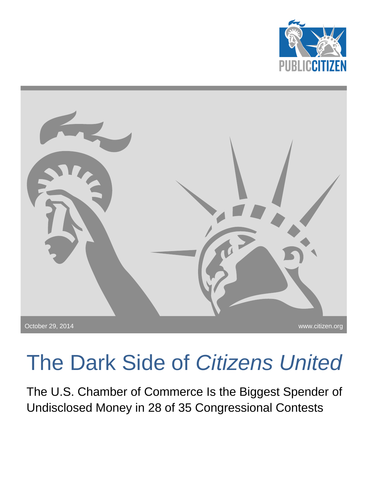



## The Dark Side of *Citizens United*

The U.S. Chamber of Commerce Is the Biggest Spender of Undisclosed Money in 28 of 35 Congressional Contests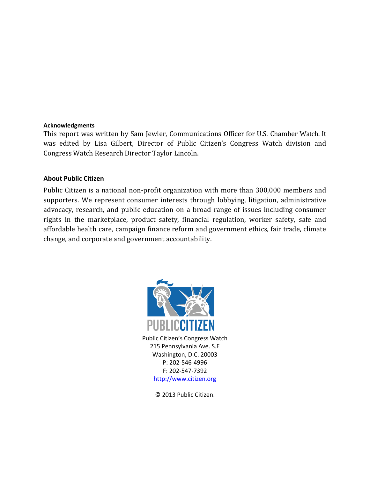## **Acknowledgments**

This report was written by Sam Jewler, Communications Officer for U.S. Chamber Watch. It was edited by Lisa Gilbert, Director of Public Citizen's Congress Watch division and Congress Watch Research Director Taylor Lincoln.

## **About Public Citizen**

Public Citizen is a national non-profit organization with more than 300,000 members and supporters. We represent consumer interests through lobbying, litigation, administrative advocacy, research, and public education on a broad range of issues including consumer rights in the marketplace, product safety, financial regulation, worker safety, safe and affordable health care, campaign finance reform and government ethics, fair trade, climate change, and corporate and government accountability.



Public Citizen's Congress Watch 215 Pennsylvania Ave. S.E Washington, D.C. 20003 P: 202-546-4996 F: 202-547-7392 [http://www.citizen.org](http://www.citizen.org/)

© 2013 Public Citizen.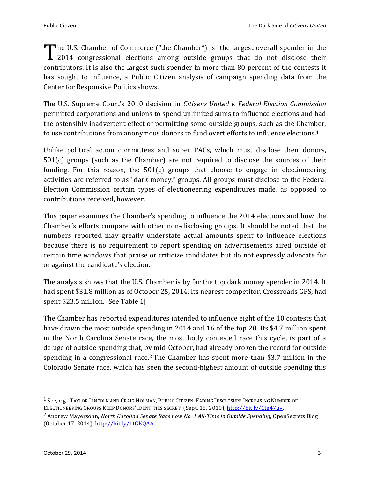The U.S. Chamber of Commerce ("the Chamber") is the largest overall spender in the 2014 congressional elections among outside groups that do not disclose their 1 2014 congressional elections among outside groups that do not disclose their contributors. It is also the largest such spender in more than 80 percent of the contests it has sought to influence, a Public Citizen analysis of campaign spending data from the Center for Responsive Politics shows.

The U.S. Supreme Court's 2010 decision in *Citizens United v. Federal Election Commission* permitted corporations and unions to spend unlimited sums to influence elections and had the ostensibly inadvertent effect of permitting some outside groups, such as the Chamber, to use contributions from anonymous donors to fund overt efforts to influence elections.<sup>1</sup>

Unlike political action committees and super PACs, which must disclose their donors, 501(c) groups (such as the Chamber) are not required to disclose the sources of their funding. For this reason, the 501(c) groups that choose to engage in electioneering activities are referred to as "dark money," groups. All groups must disclose to the Federal Election Commission certain types of electioneering expenditures made, as opposed to contributions received, however.

This paper examines the Chamber's spending to influence the 2014 elections and how the Chamber's efforts compare with other non-disclosing groups. It should be noted that the numbers reported may greatly understate actual amounts spent to influence elections because there is no requirement to report spending on advertisements aired outside of certain time windows that praise or criticize candidates but do not expressly advocate for or against the candidate's election.

The analysis shows that the U.S. Chamber is by far the top dark money spender in 2014. It had spent \$31.8 million as of October 25, 2014. Its nearest competitor, Crossroads GPS, had spent \$23.5 million. [See Table 1]

The Chamber has reported expenditures intended to influence eight of the 10 contests that have drawn the most outside spending in 2014 and 16 of the top 20. Its \$4.7 million spent in the North Carolina Senate race, the most hotly contested race this cycle, is part of a deluge of outside spending that, by mid-October, had already broken the record for outside spending in a congressional race.<sup>2</sup> The Chamber has spent more than \$3.7 million in the Colorado Senate race, which has seen the second-highest amount of outside spending this

l

<sup>1</sup> See, e.g., TAYLOR LINCOLN AND CRAIG HOLMAN, PUBLIC CITIZEN, FADING DISCLOSURE INCREASING NUMBER OF

ELECTIONEERING GROUPS KEEP DONORS' IDENTITIES SECRET (Sept. 15, 2010), [http://bit.ly/1te47qy.](http://bit.ly/1te47qy)

<sup>2</sup> Andrew Mayersohn, *North Carolina Senate Race now No. 1 All-Time in Outside Spending*, OpenSecrets Blog (October 17, 2014)[, http://bit.ly/1tGKQAA.](http://bit.ly/1tGKQAA)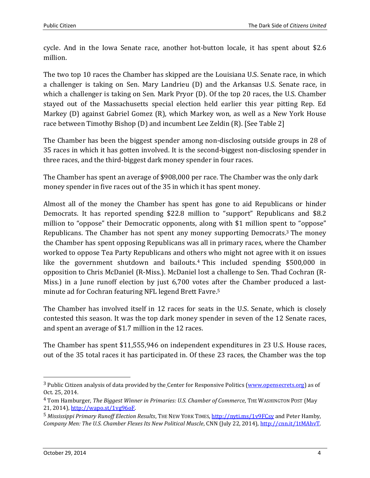cycle. And in the Iowa Senate race, another hot-button locale, it has spent about \$2.6 million.

The two top 10 races the Chamber has skipped are the Louisiana U.S. Senate race, in which a challenger is taking on Sen. Mary Landrieu (D) and the Arkansas U.S. Senate race, in which a challenger is taking on Sen. Mark Pryor (D). Of the top 20 races, the U.S. Chamber stayed out of the Massachusetts special election held earlier this year pitting Rep. Ed Markey (D) against Gabriel Gomez (R), which Markey won, as well as a New York House race between Timothy Bishop (D) and incumbent Lee Zeldin (R). [See Table 2]

The Chamber has been the biggest spender among non-disclosing outside groups in 28 of 35 races in which it has gotten involved. It is the second-biggest non-disclosing spender in three races, and the third-biggest dark money spender in four races.

The Chamber has spent an average of \$908,000 per race. The Chamber was the only dark money spender in five races out of the 35 in which it has spent money.

Almost all of the money the Chamber has spent has gone to aid Republicans or hinder Democrats. It has reported spending \$22.8 million to "support" Republicans and \$8.2 million to "oppose" their Democratic opponents, along with \$1 million spent to "oppose" Republicans. The Chamber has not spent any money supporting Democrats.<sup>3</sup> The money the Chamber has spent opposing Republicans was all in primary races, where the Chamber worked to oppose Tea Party Republicans and others who might not agree with it on issues like the government shutdown and bailouts. <sup>4</sup> This included spending \$500,000 in opposition to Chris McDaniel (R-Miss.). McDaniel lost a challenge to Sen. Thad Cochran (R-Miss.) in a June runoff election by just 6,700 votes after the Chamber produced a lastminute ad for Cochran featuring NFL legend Brett Favre. 5

The Chamber has involved itself in 12 races for seats in the U.S. Senate, which is closely contested this season. It was the top dark money spender in seven of the 12 Senate races, and spent an average of \$1.7 million in the 12 races.

The Chamber has spent \$11,555,946 on independent expenditures in 23 U.S. House races, out of the 35 total races it has participated in. Of these 23 races, the Chamber was the top

 $\overline{a}$ 

<sup>&</sup>lt;sup>3</sup> Public Citizen analysis of data provided by the Center for Responsive Politics [\(www.opensecrets.org\)](http://www.opensecrets.org/) as of Oct. 25, 2014.

<sup>4</sup> Tom Hamburger, *The Biggest Winner in Primaries: U.S. Chamber of Commerce*, THE WASHINGTON POST (May 21, 2014)[, http://wapo.st/1vg96oF.](http://wapo.st/1vg96oF)

<sup>5</sup> *Mississippi Primary Runoff Election Results*, THE NEW YORK TIMES[, http://nyti.ms/1v9FCsy](http://nyti.ms/1v9FCsy) and Peter Hamby, *Company Men: The U.S. Chamber Flexes Its New Political Muscle*, CNN (July 22, 2014), [http://cnn.it/1tMAhvT.](http://cnn.it/1tMAhvT)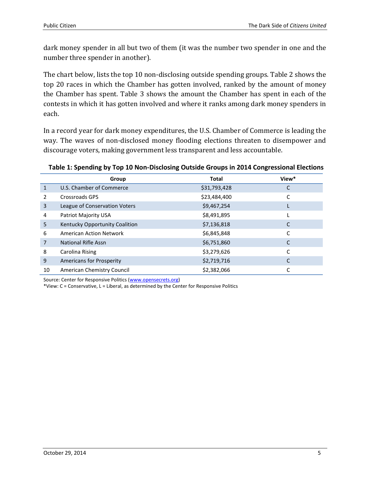dark money spender in all but two of them (it was the number two spender in one and the number three spender in another).

The chart below, lists the top 10 non-disclosing outside spending groups. Table 2 shows the top 20 races in which the Chamber has gotten involved, ranked by the amount of money the Chamber has spent. Table 3 shows the amount the Chamber has spent in each of the contests in which it has gotten involved and where it ranks among dark money spenders in each.

In a record year for dark money expenditures, the U.S. Chamber of Commerce is leading the way. The waves of non-disclosed money flooding elections threaten to disempower and discourage voters, making government less transparent and less accountable.

## **Table 1: Spending by Top 10 Non-Disclosing Outside Groups in 2014 Congressional Elections**

|              | Group                           | <b>Total</b> | View* |
|--------------|---------------------------------|--------------|-------|
| $\mathbf{1}$ | U.S. Chamber of Commerce        | \$31,793,428 | С     |
| 2            | <b>Crossroads GPS</b>           | \$23,484,400 |       |
| 3            | League of Conservation Voters   | \$9,467,254  |       |
| 4            | Patriot Majority USA            | \$8,491,895  |       |
| 5            | Kentucky Opportunity Coalition  | \$7,136,818  | С     |
| 6            | <b>American Action Network</b>  | \$6,845,848  |       |
| 7            | <b>National Rifle Assn</b>      | \$6,751,860  | С     |
| 8            | Carolina Rising                 | \$3,279,626  | C     |
| 9            | <b>Americans for Prosperity</b> | \$2,719,716  |       |
| 10           | American Chemistry Council      | \$2,382,066  |       |

Source: Center for Responsive Politics [\(www.opensecrets.org\)](http://www.opensecrets.org/)

\*View: C = Conservative, L = Liberal, as determined by the Center for Responsive Politics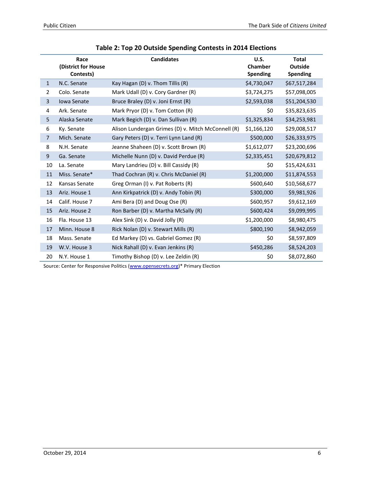|                | Race<br>(District for House<br>Contests) | <b>Candidates</b>                                  | <b>U.S.</b><br>Chamber<br><b>Spending</b> | <b>Total</b><br><b>Outside</b><br><b>Spending</b> |
|----------------|------------------------------------------|----------------------------------------------------|-------------------------------------------|---------------------------------------------------|
| $\mathbf{1}$   | N.C. Senate                              | Kay Hagan (D) v. Thom Tillis (R)                   | \$4,730,047                               | \$67,517,284                                      |
| $\overline{2}$ | Colo. Senate                             | Mark Udall (D) v. Cory Gardner (R)                 | \$3,724,275                               | \$57,098,005                                      |
| 3              | Iowa Senate                              | Bruce Braley (D) v. Joni Ernst (R)                 | \$2,593,038                               | \$51,204,530                                      |
| 4              | Ark. Senate                              | Mark Pryor (D) v. Tom Cotton (R)                   | \$0                                       | \$35,823,635                                      |
| 5              | Alaska Senate                            | Mark Begich (D) v. Dan Sullivan (R)                | \$1,325,834                               | \$34,253,981                                      |
| 6              | Ky. Senate                               | Alison Lundergan Grimes (D) v. Mitch McConnell (R) | \$1,166,120                               | \$29,008,517                                      |
| $\overline{7}$ | Mich. Senate                             | Gary Peters (D) v. Terri Lynn Land (R)             | \$500,000                                 | \$26,333,975                                      |
| 8              | N.H. Senate                              | Jeanne Shaheen (D) v. Scott Brown (R)              | \$1,612,077                               | \$23,200,696                                      |
| 9              | Ga. Senate                               | Michelle Nunn (D) v. David Perdue (R)              | \$2,335,451                               | \$20,679,812                                      |
| 10             | La. Senate                               | Mary Landrieu (D) v. Bill Cassidy (R)              | \$0                                       | \$15,424,631                                      |
| 11             | Miss. Senate*                            | Thad Cochran (R) v. Chris McDaniel (R)             | \$1,200,000                               | \$11,874,553                                      |
| 12             | Kansas Senate                            | Greg Orman (I) v. Pat Roberts (R)                  | \$600,640                                 | \$10,568,677                                      |
| 13             | Ariz. House 1                            | Ann Kirkpatrick (D) v. Andy Tobin (R)              | \$300,000                                 | \$9,981,926                                       |
| 14             | Calif. House 7                           | Ami Bera (D) and Doug Ose (R)                      | \$600,957                                 | \$9,612,169                                       |
| 15             | Ariz. House 2                            | Ron Barber (D) v. Martha McSally (R)               | \$600,424                                 | \$9,099,995                                       |
| 16             | Fla. House 13                            | Alex Sink (D) v. David Jolly (R)                   | \$1,200,000                               | \$8,980,475                                       |
| 17             | Minn. House 8                            | Rick Nolan (D) v. Stewart Mills (R)                | \$800,190                                 | \$8,942,059                                       |
| 18             | Mass. Senate                             | Ed Markey (D) vs. Gabriel Gomez (R)                | \$0                                       | \$8,597,809                                       |
| 19             | W.V. House 3                             | Nick Rahall (D) v. Evan Jenkins (R)                | \$450,286                                 | \$8,524,203                                       |
| 20             | N.Y. House 1                             | Timothy Bishop (D) v. Lee Zeldin (R)               | \$0                                       | \$8,072,860                                       |

| Table 2: Top 20 Outside Spending Contests in 2014 Elections |  |  |  |  |  |
|-------------------------------------------------------------|--|--|--|--|--|
|-------------------------------------------------------------|--|--|--|--|--|

Source: Center for Responsive Politics [\(www.opensecrets.org\)](http://www.opensecrets.org/)\* Primary Election